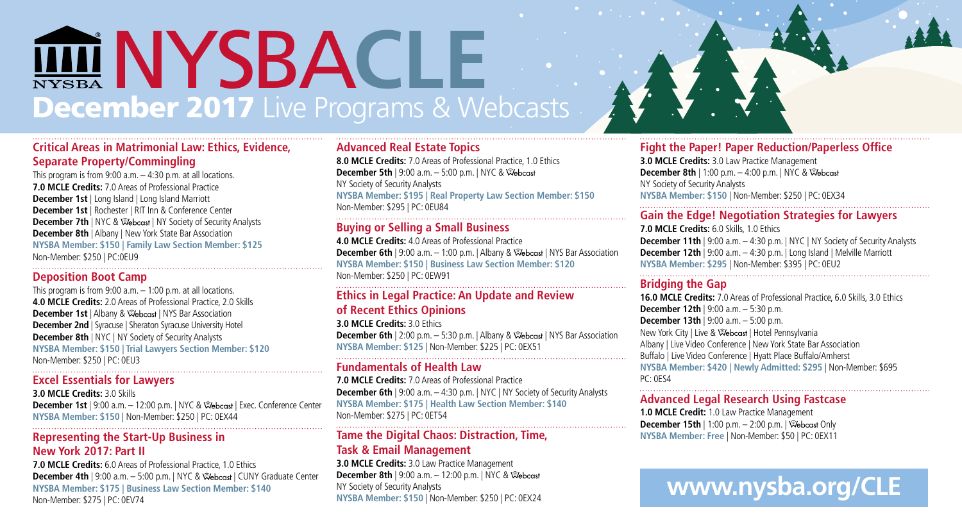# December 2017 Live Programs & Webcasts NYSBA **CLE**

#### **Critical Areas in Matrimonial Law: Ethics, Evidence, Separate Property/Commingling**

This program is from  $9:00$  a.m.  $-4:30$  p.m. at all locations. **7.0 MCLE Credits:** 7.0 Areas of Professional Practice **December 1st** | Long Island | Long Island Marriott **December 1st** | Rochester | RIT Inn & Conference Center **December 7th** | NYC & @ebcast | NY Society of Security Analysts **December 8th** | Albany | New York State Bar Association **NYSBA Member: \$150 | Family Law Section Member: \$125** Non-Member: \$250 | PC:0EU9

#### **Deposition Boot Camp**

This program is from 9:00 a.m. – 1:00 p.m. at all locations. **4.0 MCLE Credits:** 2.0 Areas of Professional Practice, 2.0 Skills **December 1st** | Albany &  $\mathcal{R}$  becast | NYS Bar Association **December 2nd** | Syracuse | Sheraton Syracuse University Hotel **December 8th** | NYC | NY Society of Security Analysts **NYSBA Member: \$150 | Trial Lawyers Section Member: \$120** Non-Member: \$250 | PC: 0EU3

#### **Excel Essentials for Lawyers**

**3.0 MCLE Credits:** 3.0 Skills **December 1st** | 9:00 a.m. – 12:00 p.m. | NYC & | Exec. Conference Center **NYSBA Member: \$150** | Non-Member: \$250 | PC: 0EX44

#### **Representing the Start-Up Business in New York 2017: Part II**

**7.0 MCLE Credits:** 6.0 Areas of Professional Practice, 1.0 Ethics **December 4th** | 9:00 a.m. – 5:00 p.m. | NYC & | CUNY Graduate Center **NYSBA Member: \$175 | Business Law Section Member: \$140** Non-Member: \$275 | PC: 0EV74

#### **Advanced Real Estate Topics**

**8.0 MCLE Credits:** 7.0 Areas of Professional Practice, 1.0 Ethics **December 5th** | 9:00 a.m. – 5:00 p.m. | NYC & NY Society of Security Analysts **NYSBA Member: \$195 | Real Property Law Section Member: \$150** Non-Member: \$295 | PC: 0EU84 

#### **Buying or Selling a Small Business**

**4.0 MCLE Credits:** 4.0 Areas of Professional Practice **December 6th** | 9:00 a.m. - 1:00 p.m. | Albany & Webcast | NYS Bar Association **NYSBA Member: \$150 | Business Law Section Member: \$120** Non-Member: \$250 | PC: 0EW91

#### **Ethics in Legal Practice: An Update and Review of Recent Ethics Opinions**

**3.0 MCLE Credits:** 3.0 Ethics **December 6th** | 2:00 p.m. – 5:30 p.m. | Albany & \ \ \ \ \ \ \ \ \ \ \ \ Bar Association **NYSBA Member: \$125** | Non-Member: \$225 | PC: 0EX51 

#### **Fundamentals of Health Law**

**7.0 MCLE Credits:** 7.0 Areas of Professional Practice **December 6th** | 9:00 a.m. - 4:30 p.m. | NYC | NY Society of Security Analysts **NYSBA Member: \$175 | Health Law Section Member: \$140** Non-Member: \$275 | PC: 0ET54 

#### **Tame the Digital Chaos: Distraction, Time, Task & Email Management**

**3.0 MCLE Credits:** 3.0 Law Practice Management **December 8th** | 9:00 a.m. – 12:00 p.m. | NYC & NY Society of Security Analysts **NYSBA Member: \$150** | Non-Member: \$250 | PC: 0EX24

#### **Fight the Paper! Paper Reduction/Paperless Office**

**3.0 MCLE Credits:** 3.0 Law Practice Management **December 8th** | 1:00 p.m. – 4:00 p.m. | NYC & NY Society of Security Analysts **NYSBA Member: \$150** | Non-Member: \$250 | PC: 0EX34

#### **Gain the Edge! Negotiation Strategies for Lawyers**

**7.0 MCLE Credits:** 6.0 Skills, 1.0 Ethics **December 11th** | 9:00 a.m. - 4:30 p.m. | NYC | NY Society of Security Analysts **December 12th** | 9:00 a.m. – 4:30 p.m. | Long Island | Melville Marriott **NYSBA Member: \$295** | Non-Member: \$395 | PC: 0EU2

#### **Bridging the Gap**

**16.0 MCLE Credits:** 7.0 Areas of Professional Practice, 6.0 Skills, 3.0 Ethics **December 12th** | 9:00 a.m. – 5:30 p.m. **December 13th** | 9:00 a.m. – 5:00 p.m. **New York City | Live & Webcast | Hotel Pennsylvania** Albany | Live Video Conference | New York State Bar Association Buffalo | Live Video Conference | Hyatt Place Buffalo/Amherst **NYSBA Member: \$420 | Newly Admitted: \$295** | Non-Member: \$695 PC: 0ES4

#### **Advanced Legal Research Using Fastcase**

**1.0 MCLE Credit:** 1.0 Law Practice Management **December 15th** | 1:00 p.m. – 2:00 p.m. | Webcast Only **NYSBA Member: Free** | Non-Member: \$50 | PC: 0EX11

### **www.nysba.org/CLE**